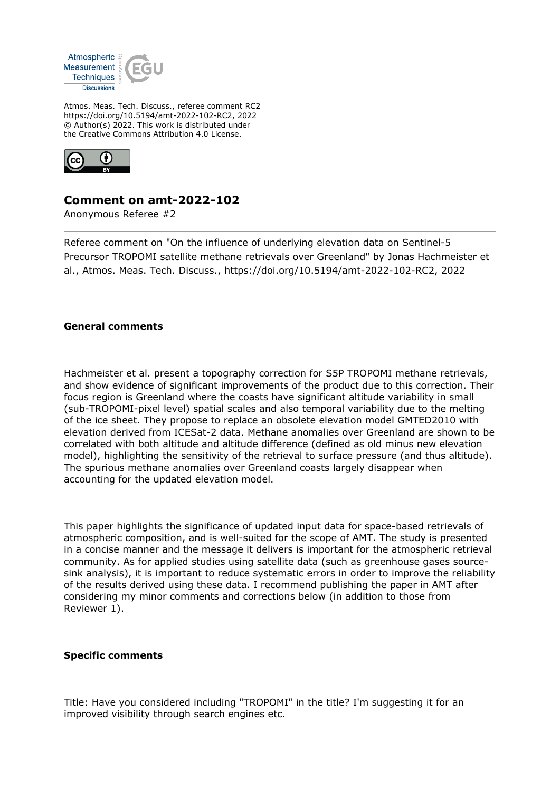

Atmos. Meas. Tech. Discuss., referee comment RC2 https://doi.org/10.5194/amt-2022-102-RC2, 2022 © Author(s) 2022. This work is distributed under the Creative Commons Attribution 4.0 License.



## **Comment on amt-2022-102**

Anonymous Referee #2

Referee comment on "On the influence of underlying elevation data on Sentinel-5 Precursor TROPOMI satellite methane retrievals over Greenland" by Jonas Hachmeister et al., Atmos. Meas. Tech. Discuss., https://doi.org/10.5194/amt-2022-102-RC2, 2022

## **General comments**

Hachmeister et al. present a topography correction for S5P TROPOMI methane retrievals, and show evidence of significant improvements of the product due to this correction. Their focus region is Greenland where the coasts have significant altitude variability in small (sub-TROPOMI-pixel level) spatial scales and also temporal variability due to the melting of the ice sheet. They propose to replace an obsolete elevation model GMTED2010 with elevation derived from ICESat-2 data. Methane anomalies over Greenland are shown to be correlated with both altitude and altitude difference (defined as old minus new elevation model), highlighting the sensitivity of the retrieval to surface pressure (and thus altitude). The spurious methane anomalies over Greenland coasts largely disappear when accounting for the updated elevation model.

This paper highlights the significance of updated input data for space-based retrievals of atmospheric composition, and is well-suited for the scope of AMT. The study is presented in a concise manner and the message it delivers is important for the atmospheric retrieval community. As for applied studies using satellite data (such as greenhouse gases sourcesink analysis), it is important to reduce systematic errors in order to improve the reliability of the results derived using these data. I recommend publishing the paper in AMT after considering my minor comments and corrections below (in addition to those from Reviewer 1).

## **Specific comments**

Title: Have you considered including "TROPOMI" in the title? I'm suggesting it for an improved visibility through search engines etc.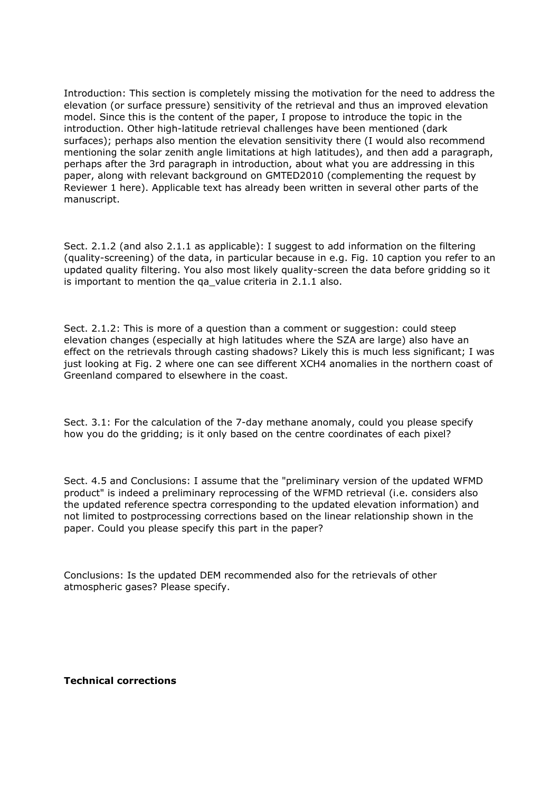Introduction: This section is completely missing the motivation for the need to address the elevation (or surface pressure) sensitivity of the retrieval and thus an improved elevation model. Since this is the content of the paper, I propose to introduce the topic in the introduction. Other high-latitude retrieval challenges have been mentioned (dark surfaces); perhaps also mention the elevation sensitivity there (I would also recommend mentioning the solar zenith angle limitations at high latitudes), and then add a paragraph, perhaps after the 3rd paragraph in introduction, about what you are addressing in this paper, along with relevant background on GMTED2010 (complementing the request by Reviewer 1 here). Applicable text has already been written in several other parts of the manuscript.

Sect. 2.1.2 (and also 2.1.1 as applicable): I suggest to add information on the filtering (quality-screening) of the data, in particular because in e.g. Fig. 10 caption you refer to an updated quality filtering. You also most likely quality-screen the data before gridding so it is important to mention the qa value criteria in 2.1.1 also.

Sect. 2.1.2: This is more of a question than a comment or suggestion: could steep elevation changes (especially at high latitudes where the SZA are large) also have an effect on the retrievals through casting shadows? Likely this is much less significant; I was just looking at Fig. 2 where one can see different XCH4 anomalies in the northern coast of Greenland compared to elsewhere in the coast.

Sect. 3.1: For the calculation of the 7-day methane anomaly, could you please specify how you do the gridding; is it only based on the centre coordinates of each pixel?

Sect. 4.5 and Conclusions: I assume that the "preliminary version of the updated WFMD product" is indeed a preliminary reprocessing of the WFMD retrieval (i.e. considers also the updated reference spectra corresponding to the updated elevation information) and not limited to postprocessing corrections based on the linear relationship shown in the paper. Could you please specify this part in the paper?

Conclusions: Is the updated DEM recommended also for the retrievals of other atmospheric gases? Please specify.

## **Technical corrections**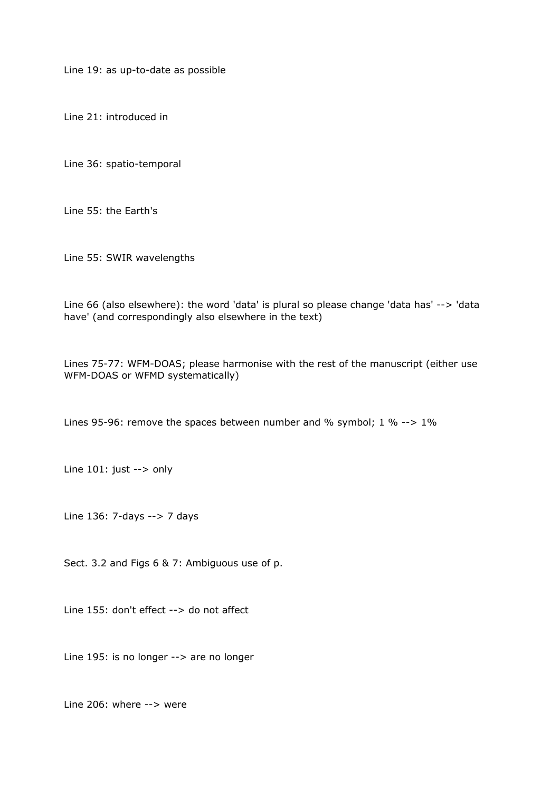Line 19: as up-to-date as possible

Line 21: introduced in

Line 36: spatio-temporal

Line 55: the Earth's

Line 55: SWIR wavelengths

Line 66 (also elsewhere): the word 'data' is plural so please change 'data has' --> 'data have' (and correspondingly also elsewhere in the text)

Lines 75-77: WFM-DOAS; please harmonise with the rest of the manuscript (either use WFM-DOAS or WFMD systematically)

Lines 95-96: remove the spaces between number and % symbol; 1 % --> 1%

Line 101: just --> only

Line 136: 7-days --> 7 days

Sect. 3.2 and Figs 6 & 7: Ambiguous use of p.

Line 155: don't effect --> do not affect

Line 195: is no longer --> are no longer

Line 206: where --> were